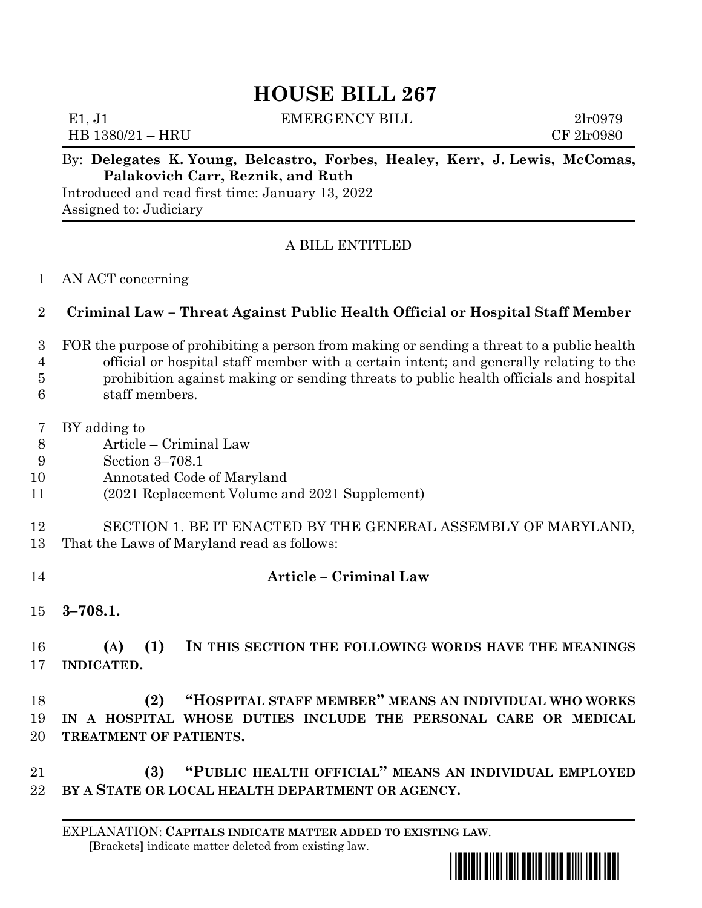# **HOUSE BILL 267**

| E1, J1<br>HB 1380/21 – HRU                                         | <b>EMERGENCY BILL</b> |  | 2 <sub>1</sub> r0979<br>CF 21r0980 |
|--------------------------------------------------------------------|-----------------------|--|------------------------------------|
| By: Delegates K Young Releastro Forbes Healey Kerr J Lewis McComas |                       |  |                                    |

#### By: **Delegates K. Young, Belcastro, Forbes, Healey, Kerr, J. Lewis, McComas, Palakovich Carr, Reznik, and Ruth**

Introduced and read first time: January 13, 2022 Assigned to: Judiciary

## A BILL ENTITLED

#### AN ACT concerning

## **Criminal Law – Threat Against Public Health Official or Hospital Staff Member**

- FOR the purpose of prohibiting a person from making or sending a threat to a public health official or hospital staff member with a certain intent; and generally relating to the
- prohibition against making or sending threats to public health officials and hospital
- staff members.
- BY adding to
- Article Criminal Law
- Section 3–708.1
- Annotated Code of Maryland
- (2021 Replacement Volume and 2021 Supplement)
- SECTION 1. BE IT ENACTED BY THE GENERAL ASSEMBLY OF MARYLAND,
- That the Laws of Maryland read as follows:
- **Article – Criminal Law**
- **3–708.1.**

 **(A) (1) IN THIS SECTION THE FOLLOWING WORDS HAVE THE MEANINGS INDICATED.**

 **(2) "HOSPITAL STAFF MEMBER" MEANS AN INDIVIDUAL WHO WORKS IN A HOSPITAL WHOSE DUTIES INCLUDE THE PERSONAL CARE OR MEDICAL TREATMENT OF PATIENTS.**

 **(3) "PUBLIC HEALTH OFFICIAL" MEANS AN INDIVIDUAL EMPLOYED BY A STATE OR LOCAL HEALTH DEPARTMENT OR AGENCY.**

EXPLANATION: **CAPITALS INDICATE MATTER ADDED TO EXISTING LAW**.  **[**Brackets**]** indicate matter deleted from existing law.